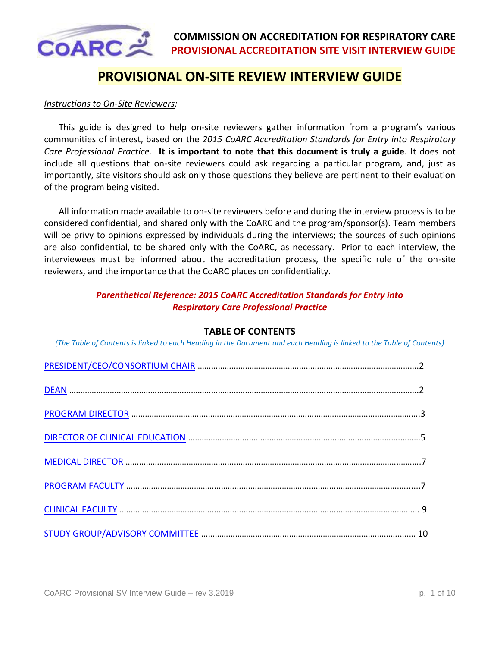

# **PROVISIONAL ON-SITE REVIEW INTERVIEW GUIDE**

#### *Instructions to On-Site Reviewers:*

This guide is designed to help on-site reviewers gather information from a program's various communities of interest, based on the *2015 CoARC Accreditation Standards for Entry into Respiratory Care Professional Practice.* **It is important to note that this document is truly a guide**. It does not include all questions that on-site reviewers could ask regarding a particular program, and, just as importantly, site visitors should ask only those questions they believe are pertinent to their evaluation of the program being visited.

All information made available to on-site reviewers before and during the interview process is to be considered confidential, and shared only with the CoARC and the program/sponsor(s). Team members will be privy to opinions expressed by individuals during the interviews; the sources of such opinions are also confidential, to be shared only with the CoARC, as necessary. Prior to each interview, the interviewees must be informed about the accreditation process, the specific role of the on-site reviewers, and the importance that the CoARC places on confidentiality.

#### *Parenthetical Reference: 2015 CoARC Accreditation Standards for Entry into Respiratory Care Professional Practice*

#### **TABLE OF CONTENTS**

<span id="page-0-0"></span>*(The Table of Contents is linked to each Heading in the Document and each Heading is linked to the Table of Contents)*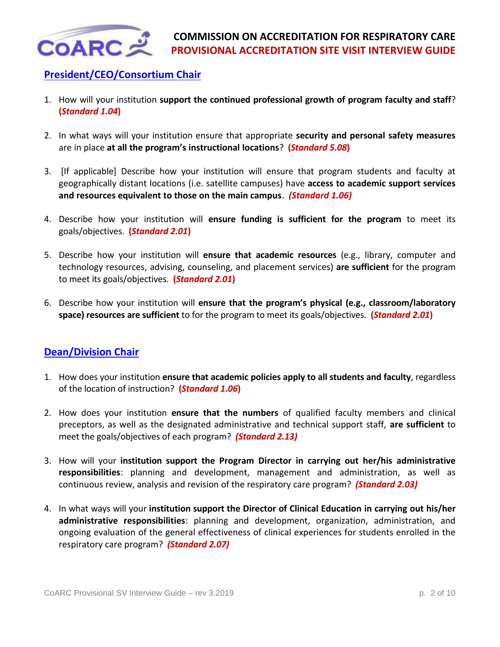

## <span id="page-1-0"></span>**[President/CEO/Consortium Chair](#page-0-0)**

- 1. How will your institution **support the continued professional growth of program faculty and staff**? **(***Standard 1.04***)**
- 2. In what ways will your institution ensure that appropriate **security and personal safety measures** are in place **at all the program's instructional locations**? **(***Standard 5.08***)**
- 3. [If applicable] Describe how your institution will ensure that program students and faculty at geographically distant locations (i.e. satellite campuses) have **access to academic support services and resources equivalent to those on the main campus**. *(Standard 1.06)*
- 4. Describe how your institution will **ensure funding is sufficient for the program** to meet its goals/objectives. **(***Standard 2.01***)**
- 5. Describe how your institution will **ensure that academic resources** (e.g., library, computer and technology resources, advising, counseling, and placement services) **are sufficient** for the program to meet its goals/objectives. **(***Standard 2.01***)**
- 6. Describe how your institution will **ensure that the program's physical (e.g., classroom/laboratory space) resources are sufficient** to for the program to meet its goals/objectives. **(***Standard 2.01***)**

### <span id="page-1-1"></span>**[Dean/Division Chair](#page-0-0)**

- 1. How does your institution **ensure that academic policies apply to all students and faculty**, regardless of the location of instruction? **(***Standard 1.06***)**
- 2. How does your institution **ensure that the numbers** of qualified faculty members and clinical preceptors, as well as the designated administrative and technical support staff, **are sufficient** to meet the goals/objectives of each program? *(Standard 2.13)*
- 3. How will your **institution support the Program Director in carrying out her/his administrative responsibilities**: planning and development, management and administration, as well as continuous review, analysis and revision of the respiratory care program? *(Standard 2.03)*
- 4. In what ways will your **institution support the Director of Clinical Education in carrying out his/her administrative responsibilities**: planning and development, organization, administration, and ongoing evaluation of the general effectiveness of clinical experiences for students enrolled in the respiratory care program? *(Standard 2.07)*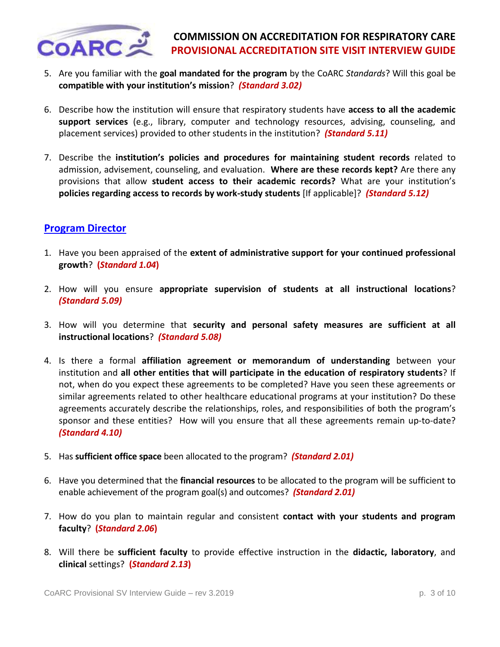

## **COMMISSION ON ACCREDITATION FOR RESPIRATORY CARE PROVISIONAL ACCREDITATION SITE VISIT INTERVIEW GUIDE**

- 5. Are you familiar with the **goal mandated for the program** by the CoARC *Standards*? Will this goal be **compatible with your institution's mission**? *(Standard 3.02)*
- 6. Describe how the institution will ensure that respiratory students have **access to all the academic support services** (e.g., library, computer and technology resources, advising, counseling, and placement services) provided to other students in the institution? *(Standard 5.11)*
- 7. Describe the **institution's policies and procedures for maintaining student records** related to admission, advisement, counseling, and evaluation. **Where are these records kept?** Are there any provisions that allow **student access to their academic records?** What are your institution's **policies regarding access to records by work-study students** [If applicable]? *(Standard 5.12)*

### <span id="page-2-0"></span>**[Program Director](#page-0-0)**

- 1. Have you been appraised of the **extent of administrative support for your continued professional growth**? **(***Standard 1.04***)**
- 2. How will you ensure **appropriate supervision of students at all instructional locations**? *(Standard 5.09)*
- 3. How will you determine that **security and personal safety measures are sufficient at all instructional locations**? *(Standard 5.08)*
- 4. Is there a formal **affiliation agreement or memorandum of understanding** between your institution and **all other entities that will participate in the education of respiratory students**? If not, when do you expect these agreements to be completed? Have you seen these agreements or similar agreements related to other healthcare educational programs at your institution? Do these agreements accurately describe the relationships, roles, and responsibilities of both the program's sponsor and these entities? How will you ensure that all these agreements remain up-to-date? *(Standard 4.10)*
- 5. Has **sufficient office space** been allocated to the program? *(Standard 2.01)*
- 6. Have you determined that the **financial resources** to be allocated to the program will be sufficient to enable achievement of the program goal(s) and outcomes? *(Standard 2.01)*
- 7. How do you plan to maintain regular and consistent **contact with your students and program faculty**? **(***Standard 2.06***)**
- 8. Will there be **sufficient faculty** to provide effective instruction in the **didactic, laboratory**, and **clinical** settings? **(***Standard 2.13***)**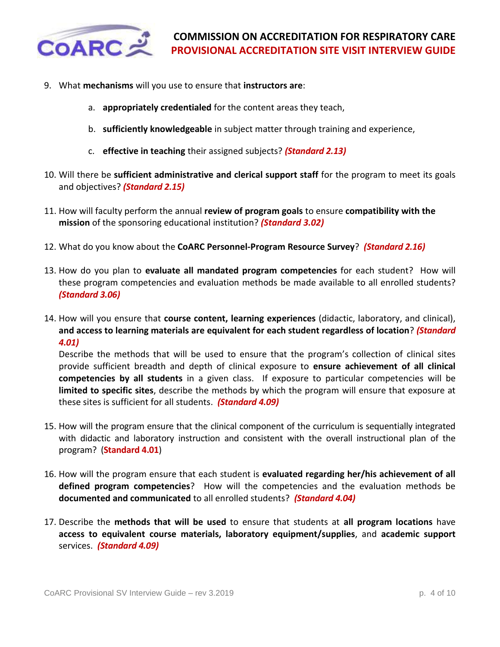

- 9. What **mechanisms** will you use to ensure that **instructors are**:
	- a. **appropriately credentialed** for the content areas they teach,
	- b. **sufficiently knowledgeable** in subject matter through training and experience,
	- c. **effective in teaching** their assigned subjects? *(Standard 2.13)*
- 10. Will there be **sufficient administrative and clerical support staff** for the program to meet its goals and objectives? *(Standard 2.15)*
- 11. How will faculty perform the annual **review of program goals** to ensure **compatibility with the mission** of the sponsoring educational institution? *(Standard 3.02)*
- 12. What do you know about the **CoARC Personnel-Program Resource Survey**? *(Standard 2.16)*
- 13. How do you plan to **evaluate all mandated program competencies** for each student? How will these program competencies and evaluation methods be made available to all enrolled students? *(Standard 3.06)*
- 14. How will you ensure that **course content, learning experiences** (didactic, laboratory, and clinical), **and access to learning materials are equivalent for each student regardless of location**? *(Standard 4.01)*

Describe the methods that will be used to ensure that the program's collection of clinical sites provide sufficient breadth and depth of clinical exposure to **ensure achievement of all clinical competencies by all students** in a given class. If exposure to particular competencies will be **limited to specific sites**, describe the methods by which the program will ensure that exposure at these sites is sufficient for all students. *(Standard 4.09)* 

- 15. How will the program ensure that the clinical component of the curriculum is sequentially integrated with didactic and laboratory instruction and consistent with the overall instructional plan of the program? (**Standard 4.01**)
- 16. How will the program ensure that each student is **evaluated regarding her/his achievement of all defined program competencies**? How will the competencies and the evaluation methods be **documented and communicated** to all enrolled students? *(Standard 4.04)*
- 17. Describe the **methods that will be used** to ensure that students at **all program locations** have **access to equivalent course materials, laboratory equipment/supplies**, and **academic support** services. *(Standard 4.09)*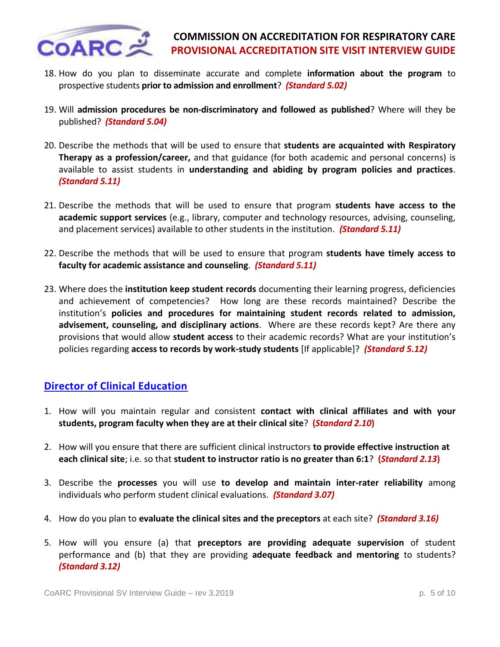

- 18. How do you plan to disseminate accurate and complete **information about the program** to prospective students **prior to admission and enrollment**? *(Standard 5.02)*
- 19. Will **admission procedures be non-discriminatory and followed as published**? Where will they be published? *(Standard 5.04)*
- 20. Describe the methods that will be used to ensure that **students are acquainted with Respiratory Therapy as a profession/career,** and that guidance (for both academic and personal concerns) is available to assist students in **understanding and abiding by program policies and practices**. *(Standard 5.11)*
- 21. Describe the methods that will be used to ensure that program **students have access to the academic support services** (e.g., library, computer and technology resources, advising, counseling, and placement services) available to other students in the institution. *(Standard 5.11)*
- 22. Describe the methods that will be used to ensure that program **students have timely access to faculty for academic assistance and counseling**.*(Standard 5.11)*
- 23. Where does the **institution keep student records** documenting their learning progress, deficiencies and achievement of competencies? How long are these records maintained? Describe the institution's **policies and procedures for maintaining student records related to admission, advisement, counseling, and disciplinary actions**. Where are these records kept? Are there any provisions that would allow **student access** to their academic records? What are your institution's policies regarding **access to records by work-study students** [If applicable]? *(Standard 5.12)*

## <span id="page-4-0"></span>**[Director of Clinical Education](#page-0-0)**

- 1. How will you maintain regular and consistent **contact with clinical affiliates and with your students, program faculty when they are at their clinical site**? **(***Standard 2.10***)**
- 2. How will you ensure that there are sufficient clinical instructors **to provide effective instruction at each clinical site**; i.e. so that **student to instructor ratio is no greater than 6:1**? **(***Standard 2.13***)**
- 3. Describe the **processes** you will use **to develop and maintain inter-rater reliability** among individuals who perform student clinical evaluations. *(Standard 3.07)*
- 4. How do you plan to **evaluate the clinical sites and the preceptors** at each site? *(Standard 3.16)*
- 5. How will you ensure (a) that **preceptors are providing adequate supervision** of student performance and (b) that they are providing **adequate feedback and mentoring** to students? *(Standard 3.12)*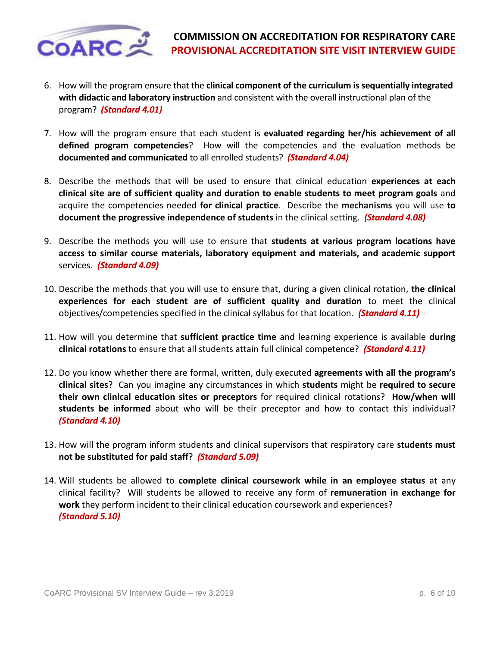

- 6. How will the program ensure that the **clinical component of the curriculum is sequentially integrated with didactic and laboratory instruction** and consistent with the overall instructional plan of the program? *(Standard 4.01)*
- 7. How will the program ensure that each student is **evaluated regarding her/his achievement of all defined program competencies**? How will the competencies and the evaluation methods be **documented and communicated** to all enrolled students? *(Standard 4.04)*
- 8. Describe the methods that will be used to ensure that clinical education **experiences at each clinical site are of sufficient quality and duration to enable students to meet program goals** and acquire the competencies needed **for clinical practice**. Describe the **mechanisms** you will use **to document the progressive independence of students** in the clinical setting. *(Standard 4.08)*
- 9. Describe the methods you will use to ensure that **students at various program locations have access to similar course materials, laboratory equipment and materials, and academic support** services. *(Standard 4.09)*
- 10. Describe the methods that you will use to ensure that, during a given clinical rotation, **the clinical experiences for each student are of sufficient quality and duration** to meet the clinical objectives/competencies specified in the clinical syllabus for that location. *(Standard 4.11)*
- 11. How will you determine that **sufficient practice time** and learning experience is available **during clinical rotations** to ensure that all students attain full clinical competence? *(Standard 4.11)*
- 12. Do you know whether there are formal, written, duly executed **agreements with all the program's clinical sites**? Can you imagine any circumstances in which **students** might be **required to secure their own clinical education sites or preceptors** for required clinical rotations? **How/when will students be informed** about who will be their preceptor and how to contact this individual? *(Standard 4.10)*
- 13. How will the program inform students and clinical supervisors that respiratory care **students must not be substituted for paid staff**? *(Standard 5.09)*
- 14. Will students be allowed to **complete clinical coursework while in an employee status** at any clinical facility? Will students be allowed to receive any form of **remuneration in exchange for work** they perform incident to their clinical education coursework and experiences?  *(Standard 5.10)*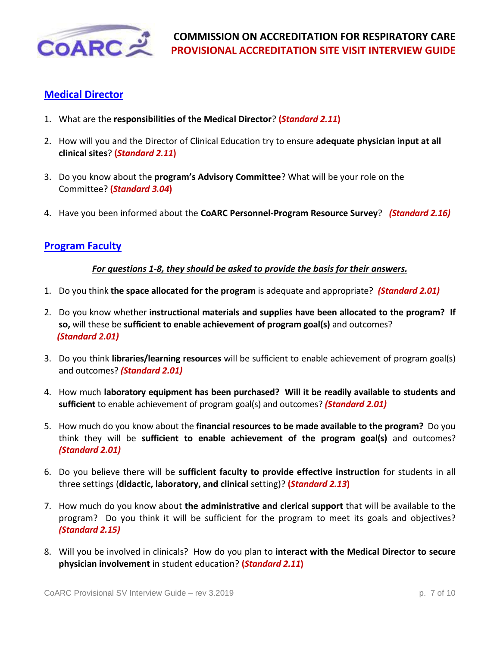

## <span id="page-6-0"></span>**[Medical Director](#page-0-0)**

- 1. What are the **responsibilities of the Medical Director**? **(***Standard 2.11***)**
- 2. How will you and the Director of Clinical Education try to ensure **adequate physician input at all clinical sites**? **(***Standard 2.11***)**
- 3. Do you know about the **program's Advisory Committee**? What will be your role on the Committee? **(***Standard 3.04***)**
- 4. Have you been informed about the **CoARC Personnel-Program Resource Survey**? *(Standard 2.16)*

### <span id="page-6-1"></span>**[Program Faculty](#page-0-0)**

#### *For questions 1-8, they should be asked to provide the basis for their answers.*

- 1. Do you think **the space allocated for the program** is adequate and appropriate? *(Standard 2.01)*
- 2. Do you know whether **instructional materials and supplies have been allocated to the program? If so,** will these be **sufficient to enable achievement of program goal(s)** and outcomes?  *(Standard 2.01)*
- 3. Do you think **libraries/learning resources** will be sufficient to enable achievement of program goal(s) and outcomes? *(Standard 2.01)*
- 4. How much **laboratory equipment has been purchased? Will it be readily available to students and sufficient** to enable achievement of program goal(s) and outcomes? *(Standard 2.01)*
- 5. How much do you know about the **financial resources to be made available to the program?** Do you think they will be **sufficient to enable achievement of the program goal(s)** and outcomes? *(Standard 2.01)*
- 6. Do you believe there will be **sufficient faculty to provide effective instruction** for students in all three settings (**didactic, laboratory, and clinical** setting)? **(***Standard 2.13***)**
- 7. How much do you know about **the administrative and clerical support** that will be available to the program? Do you think it will be sufficient for the program to meet its goals and objectives? *(Standard 2.15)*
- 8. Will you be involved in clinicals? How do you plan to **interact with the Medical Director to secure physician involvement** in student education? **(***Standard 2.11***)**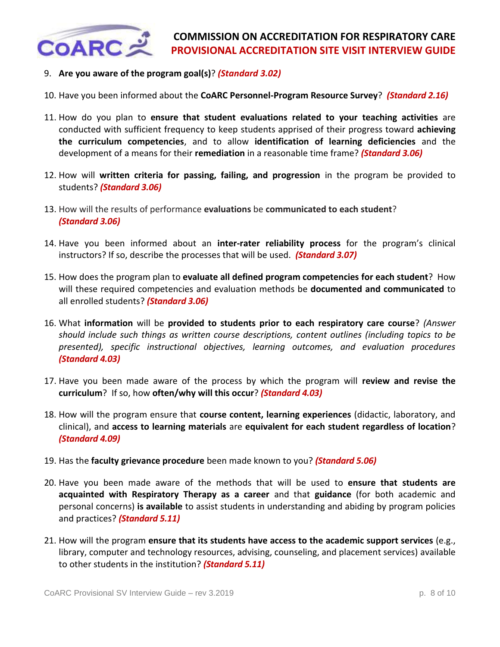

- 9. **Are you aware of the program goal(s)**? *(Standard 3.02)*
- 10. Have you been informed about the **CoARC Personnel-Program Resource Survey**? *(Standard 2.16)*
- 11. How do you plan to **ensure that student evaluations related to your teaching activities** are conducted with sufficient frequency to keep students apprised of their progress toward **achieving the curriculum competencies**, and to allow **identification of learning deficiencies** and the development of a means for their **remediation** in a reasonable time frame? *(Standard 3.06)*
- 12. How will **written criteria for passing, failing, and progression** in the program be provided to students? *(Standard 3.06)*
- 13. How will the results of performance **evaluations** be **communicated to each student**?  *(Standard 3.06)*
- 14. Have you been informed about an **inter-rater reliability process** for the program's clinical instructors? If so, describe the processes that will be used. *(Standard 3.07)*
- 15. How does the program plan to **evaluate all defined program competencies for each student**? How will these required competencies and evaluation methods be **documented and communicated** to all enrolled students? *(Standard 3.06)*
- 16. What **information** will be **provided to students prior to each respiratory care course**? *(Answer should include such things as written course descriptions, content outlines (including topics to be presented), specific instructional objectives, learning outcomes, and evaluation procedures (Standard 4.03)*
- 17. Have you been made aware of the process by which the program will **review and revise the curriculum**? If so, how **often/why will this occur**? *(Standard 4.03)*
- 18. How will the program ensure that **course content, learning experiences** (didactic, laboratory, and clinical), and **access to learning materials** are **equivalent for each student regardless of location**? *(Standard 4.09)*
- 19. Has the **faculty grievance procedure** been made known to you? *(Standard 5.06)*
- 20. Have you been made aware of the methods that will be used to **ensure that students are acquainted with Respiratory Therapy as a career** and that **guidance** (for both academic and personal concerns) **is available** to assist students in understanding and abiding by program policies and practices? *(Standard 5.11)*
- 21. How will the program **ensure that its students have access to the academic support services** (e.g., library, computer and technology resources, advising, counseling, and placement services) available to other students in the institution? *(Standard 5.11)*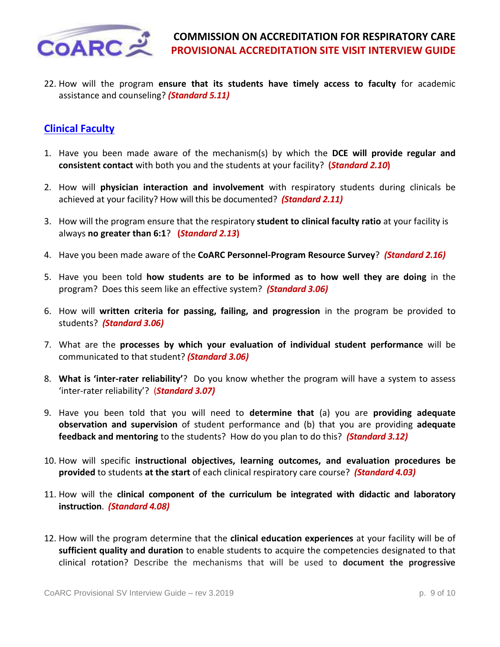

22. How will the program **ensure that its students have timely access to faculty** for academic assistance and counseling? *(Standard 5.11)*

### <span id="page-8-0"></span>**[Clinical Faculty](#page-0-0)**

- 1. Have you been made aware of the mechanism(s) by which the **DCE will provide regular and consistent contact** with both you and the students at your facility? **(***Standard 2.10***)**
- 2. How will **physician interaction and involvement** with respiratory students during clinicals be achieved at your facility? How will this be documented? *(Standard 2.11)*
- 3. How will the program ensure that the respiratory **student to clinical faculty ratio** at your facility is always **no greater than 6:1**? **(***Standard 2.13***)**
- 4. Have you been made aware of the **CoARC Personnel-Program Resource Survey**? *(Standard 2.16)*
- 5. Have you been told **how students are to be informed as to how well they are doing** in the program? Does this seem like an effective system? *(Standard 3.06)*
- 6. How will **written criteria for passing, failing, and progression** in the program be provided to students? *(Standard 3.06)*
- 7. What are the **processes by which your evaluation of individual student performance** will be communicated to that student? *(Standard 3.06)*
- 8. **What is 'inter-rater reliability'**? Do you know whether the program will have a system to assess 'inter-rater reliability'? (*Standard 3.07)*
- 9. Have you been told that you will need to **determine that** (a) you are **providing adequate observation and supervision** of student performance and (b) that you are providing **adequate feedback and mentoring** to the students? How do you plan to do this? *(Standard 3.12)*
- 10. How will specific **instructional objectives, learning outcomes, and evaluation procedures be provided** to students **at the start** of each clinical respiratory care course? *(Standard 4.03)*
- 11. How will the **clinical component of the curriculum be integrated with didactic and laboratory instruction**. *(Standard 4.08)*
- 12. How will the program determine that the **clinical education experiences** at your facility will be of **sufficient quality and duration** to enable students to acquire the competencies designated to that clinical rotation? Describe the mechanisms that will be used to **document the progressive**